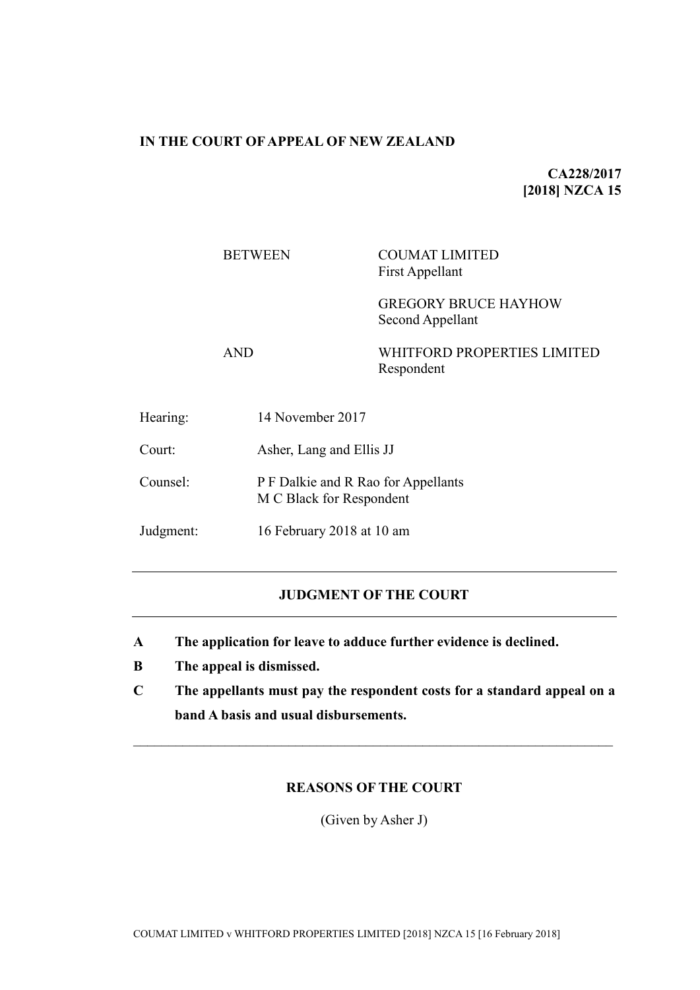# **IN THE COURT OF APPEAL OF NEW ZEALAND**

**CA228/2017 [2018] NZCA 15**

# BETWEEN COUMAT LIMITED First Appellant

GREGORY BRUCE HAYHOW Second Appellant

AND WHITFORD PROPERTIES LIMITED Respondent

Hearing: 14 November 2017 Court: Asher, Lang and Ellis JJ Counsel: P F Dalkie and R Rao for Appellants M C Black for Respondent Judgment: 16 February 2018 at 10 am

# **JUDGMENT OF THE COURT**

- **A The application for leave to adduce further evidence is declined.**
- **B The appeal is dismissed.**
- **C The appellants must pay the respondent costs for a standard appeal on a band A basis and usual disbursements.**

 $\mathcal{L}_\mathcal{L} = \{ \mathcal{L}_\mathcal{L} = \{ \mathcal{L}_\mathcal{L} = \{ \mathcal{L}_\mathcal{L} = \{ \mathcal{L}_\mathcal{L} = \{ \mathcal{L}_\mathcal{L} = \{ \mathcal{L}_\mathcal{L} = \{ \mathcal{L}_\mathcal{L} = \{ \mathcal{L}_\mathcal{L} = \{ \mathcal{L}_\mathcal{L} = \{ \mathcal{L}_\mathcal{L} = \{ \mathcal{L}_\mathcal{L} = \{ \mathcal{L}_\mathcal{L} = \{ \mathcal{L}_\mathcal{L} = \{ \mathcal{L}_\mathcal{$ 

# **REASONS OF THE COURT**

(Given by Asher J)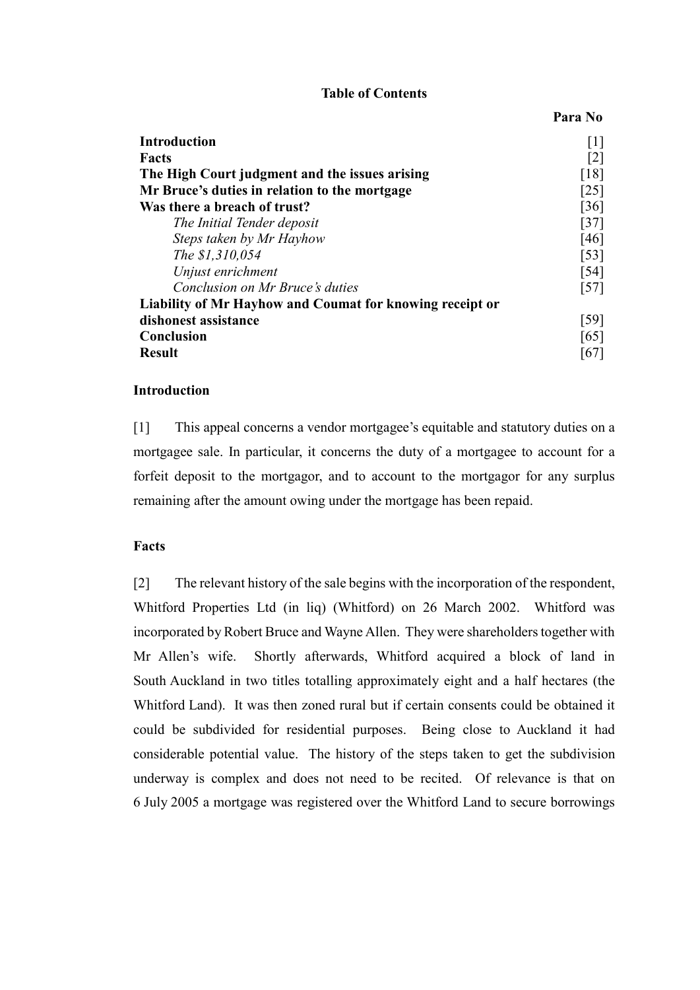#### **Table of Contents**

**Para No**

| <b>Introduction</b>                                      | $[1]$              |
|----------------------------------------------------------|--------------------|
| Facts                                                    | [2]                |
| The High Court judgment and the issues arising           | [18]               |
| Mr Bruce's duties in relation to the mortgage            | $\lceil 25 \rceil$ |
| Was there a breach of trust?                             | $\lceil 36 \rceil$ |
| The Initial Tender deposit                               | $[37]$             |
| Steps taken by Mr Hayhow                                 | $[46]$             |
| The \$1,310,054                                          | $\lceil 53 \rceil$ |
| Unjust enrichment                                        | $\lceil 54 \rceil$ |
| Conclusion on Mr Bruce's duties                          | $[57]$             |
| Liability of Mr Hayhow and Coumat for knowing receipt or |                    |
| dishonest assistance                                     | $\left[59\right]$  |
| <b>Conclusion</b>                                        | [65]               |
| <b>Result</b>                                            | [67]               |

#### **Introduction**

<span id="page-1-0"></span>[1] This appeal concerns a vendor mortgagee's equitable and statutory duties on a mortgagee sale. In particular, it concerns the duty of a mortgagee to account for a forfeit deposit to the mortgagor, and to account to the mortgagor for any surplus remaining after the amount owing under the mortgage has been repaid.

### **Facts**

<span id="page-1-1"></span>[2] The relevant history of the sale begins with the incorporation of the respondent, Whitford Properties Ltd (in liq) (Whitford) on 26 March 2002. Whitford was incorporated by Robert Bruce and Wayne Allen. They were shareholders together with Mr Allen's wife. Shortly afterwards, Whitford acquired a block of land in South Auckland in two titles totalling approximately eight and a half hectares (the Whitford Land). It was then zoned rural but if certain consents could be obtained it could be subdivided for residential purposes. Being close to Auckland it had considerable potential value. The history of the steps taken to get the subdivision underway is complex and does not need to be recited. Of relevance is that on 6 July 2005 a mortgage was registered over the Whitford Land to secure borrowings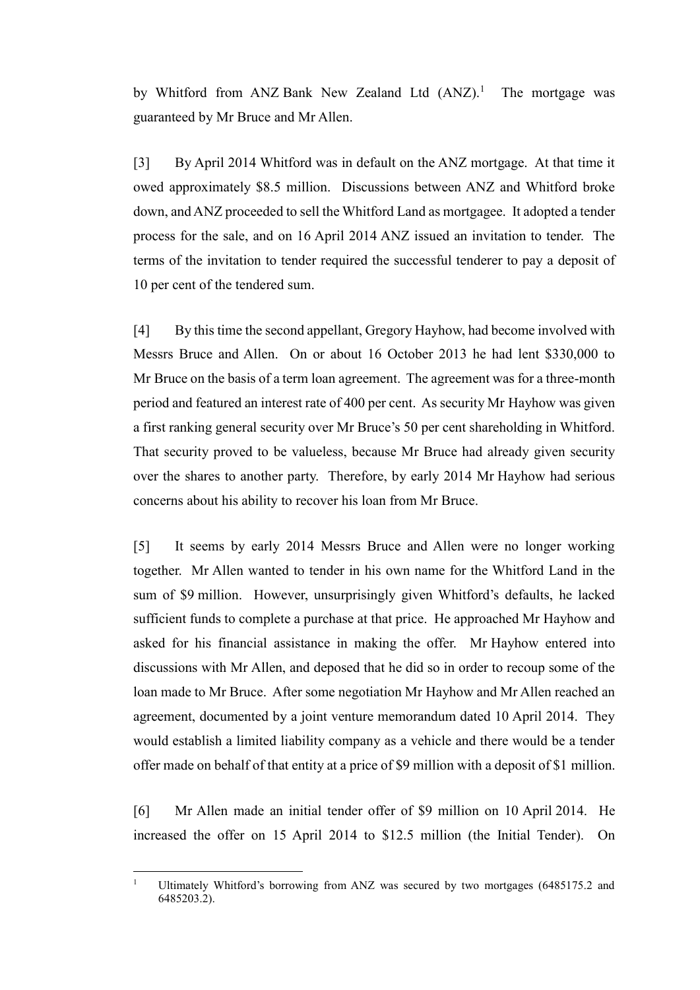by Whitford from ANZ Bank New Zealand Ltd  $(ANZ)^1$  The mortgage was guaranteed by Mr Bruce and Mr Allen.

[3] By April 2014 Whitford was in default on the ANZ mortgage. At that time it owed approximately \$8.5 million. Discussions between ANZ and Whitford broke down, and ANZ proceeded to sell the Whitford Land as mortgagee. It adopted a tender process for the sale, and on 16 April 2014 ANZ issued an invitation to tender. The terms of the invitation to tender required the successful tenderer to pay a deposit of 10 per cent of the tendered sum.

[4] By this time the second appellant, Gregory Hayhow, had become involved with Messrs Bruce and Allen. On or about 16 October 2013 he had lent \$330,000 to Mr Bruce on the basis of a term loan agreement. The agreement was for a three-month period and featured an interest rate of 400 per cent. As security Mr Hayhow was given a first ranking general security over Mr Bruce's 50 per cent shareholding in Whitford. That security proved to be valueless, because Mr Bruce had already given security over the shares to another party. Therefore, by early 2014 Mr Hayhow had serious concerns about his ability to recover his loan from Mr Bruce.

[5] It seems by early 2014 Messrs Bruce and Allen were no longer working together. Mr Allen wanted to tender in his own name for the Whitford Land in the sum of \$9 million. However, unsurprisingly given Whitford's defaults, he lacked sufficient funds to complete a purchase at that price. He approached Mr Hayhow and asked for his financial assistance in making the offer. Mr Hayhow entered into discussions with Mr Allen, and deposed that he did so in order to recoup some of the loan made to Mr Bruce. After some negotiation Mr Hayhow and Mr Allen reached an agreement, documented by a joint venture memorandum dated 10 April 2014. They would establish a limited liability company as a vehicle and there would be a tender offer made on behalf of that entity at a price of \$9 million with a deposit of \$1 million.

[6] Mr Allen made an initial tender offer of \$9 million on 10 April 2014. He increased the offer on 15 April 2014 to \$12.5 million (the Initial Tender). On

 $\overline{1}$ Ultimately Whitford's borrowing from ANZ was secured by two mortgages (6485175.2 and 6485203.2).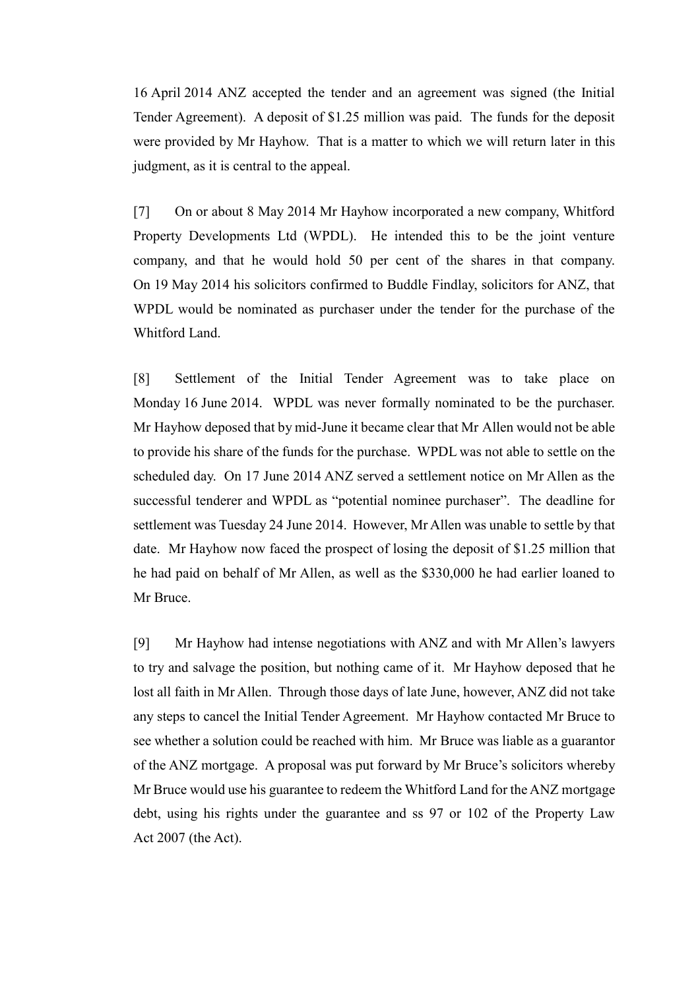16 April 2014 ANZ accepted the tender and an agreement was signed (the Initial Tender Agreement). A deposit of \$1.25 million was paid. The funds for the deposit were provided by Mr Hayhow. That is a matter to which we will return later in this judgment, as it is central to the appeal.

[7] On or about 8 May 2014 Mr Hayhow incorporated a new company, Whitford Property Developments Ltd (WPDL). He intended this to be the joint venture company, and that he would hold 50 per cent of the shares in that company. On 19 May 2014 his solicitors confirmed to Buddle Findlay, solicitors for ANZ, that WPDL would be nominated as purchaser under the tender for the purchase of the Whitford Land.

[8] Settlement of the Initial Tender Agreement was to take place on Monday 16 June 2014. WPDL was never formally nominated to be the purchaser. Mr Hayhow deposed that by mid-June it became clear that Mr Allen would not be able to provide his share of the funds for the purchase. WPDL was not able to settle on the scheduled day. On 17 June 2014 ANZ served a settlement notice on Mr Allen as the successful tenderer and WPDL as "potential nominee purchaser". The deadline for settlement was Tuesday 24 June 2014. However, Mr Allen was unable to settle by that date. Mr Hayhow now faced the prospect of losing the deposit of \$1.25 million that he had paid on behalf of Mr Allen, as well as the \$330,000 he had earlier loaned to Mr Bruce.

[9] Mr Hayhow had intense negotiations with ANZ and with Mr Allen's lawyers to try and salvage the position, but nothing came of it. Mr Hayhow deposed that he lost all faith in Mr Allen. Through those days of late June, however, ANZ did not take any steps to cancel the Initial Tender Agreement. Mr Hayhow contacted Mr Bruce to see whether a solution could be reached with him. Mr Bruce was liable as a guarantor of the ANZ mortgage. A proposal was put forward by Mr Bruce's solicitors whereby Mr Bruce would use his guarantee to redeem the Whitford Land for the ANZ mortgage debt, using his rights under the guarantee and ss 97 or 102 of the Property Law Act 2007 (the Act).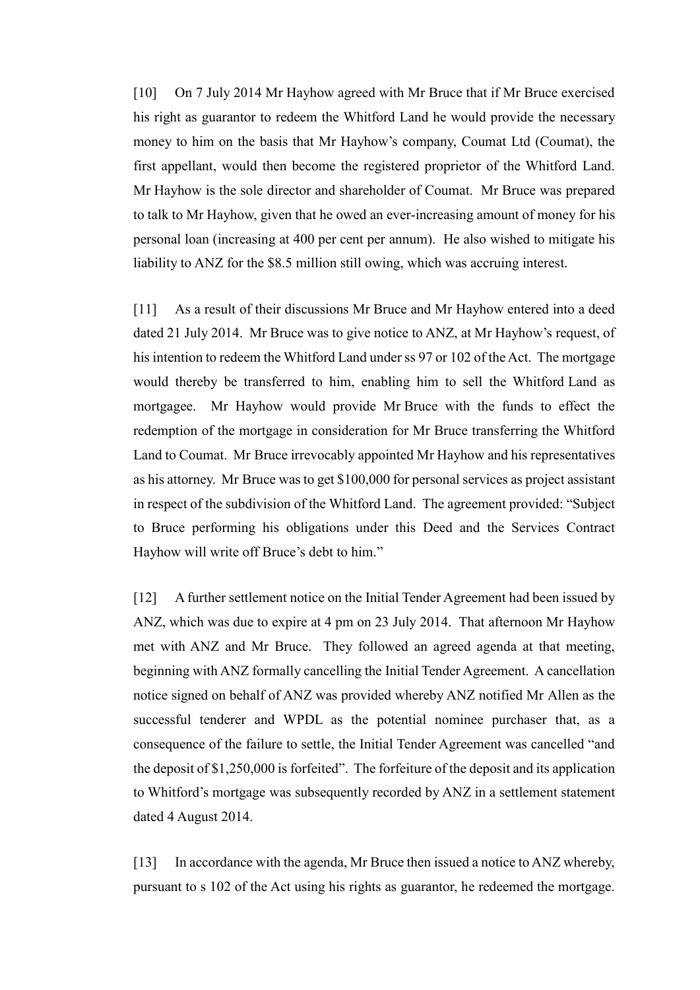[10] On 7 July 2014 Mr Hayhow agreed with Mr Bruce that if Mr Bruce exercised his right as guarantor to redeem the Whitford Land he would provide the necessary money to him on the basis that Mr Hayhow's company, Coumat Ltd (Coumat), the first appellant, would then become the registered proprietor of the Whitford Land. Mr Hayhow is the sole director and shareholder of Coumat. Mr Bruce was prepared to talk to Mr Hayhow, given that he owed an ever-increasing amount of money for his personal loan (increasing at 400 per cent per annum). He also wished to mitigate his liability to ANZ for the \$8.5 million still owing, which was accruing interest.

[11] As a result of their discussions Mr Bruce and Mr Hayhow entered into a deed dated 21 July 2014. Mr Bruce was to give notice to ANZ, at Mr Hayhow's request, of his intention to redeem the Whitford Land under ss 97 or 102 of the Act. The mortgage would thereby be transferred to him, enabling him to sell the Whitford Land as mortgagee. Mr Hayhow would provide Mr Bruce with the funds to effect the redemption of the mortgage in consideration for Mr Bruce transferring the Whitford Land to Coumat. Mr Bruce irrevocably appointed Mr Hayhow and his representatives as his attorney. Mr Bruce was to get \$100,000 for personal services as project assistant in respect of the subdivision of the Whitford Land. The agreement provided: "Subject to Bruce performing his obligations under this Deed and the Services Contract Hayhow will write off Bruce's debt to him."

[12] A further settlement notice on the Initial Tender Agreement had been issued by ANZ, which was due to expire at 4 pm on 23 July 2014. That afternoon Mr Hayhow met with ANZ and Mr Bruce. They followed an agreed agenda at that meeting, beginning with ANZ formally cancelling the Initial Tender Agreement. A cancellation notice signed on behalf of ANZ was provided whereby ANZ notified Mr Allen as the successful tenderer and WPDL as the potential nominee purchaser that, as a consequence of the failure to settle, the Initial Tender Agreement was cancelled "and the deposit of \$1,250,000 is forfeited". The forfeiture of the deposit and its application to Whitford's mortgage was subsequently recorded by ANZ in a settlement statement dated 4 August 2014.

[13] In accordance with the agenda, Mr Bruce then issued a notice to ANZ whereby, pursuant to s 102 of the Act using his rights as guarantor, he redeemed the mortgage.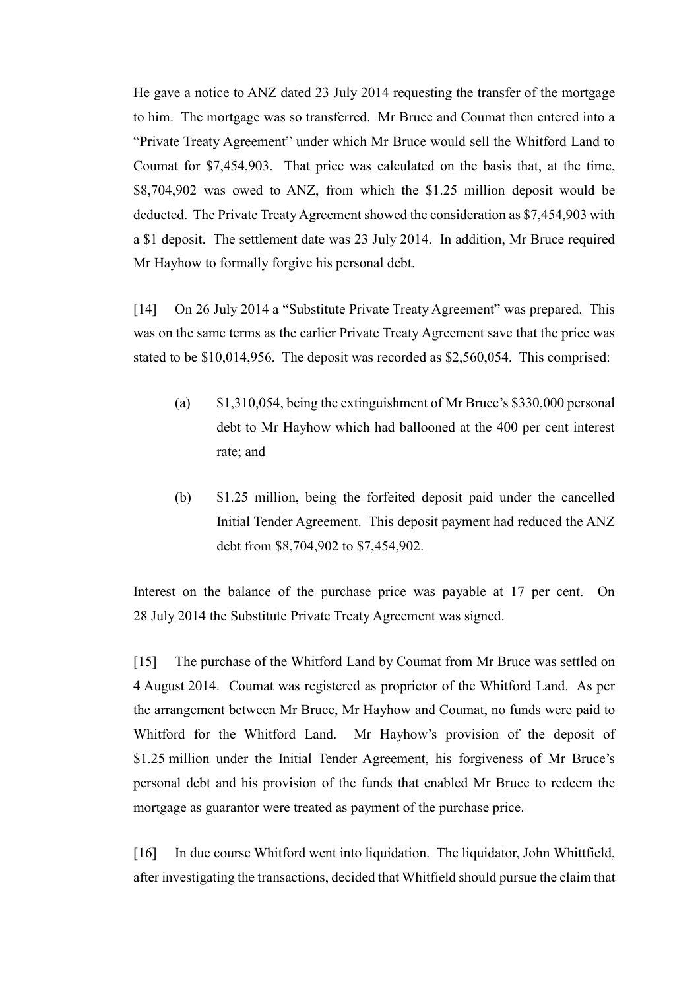He gave a notice to ANZ dated 23 July 2014 requesting the transfer of the mortgage to him. The mortgage was so transferred. Mr Bruce and Coumat then entered into a "Private Treaty Agreement" under which Mr Bruce would sell the Whitford Land to Coumat for \$7,454,903. That price was calculated on the basis that, at the time, \$8,704,902 was owed to ANZ, from which the \$1.25 million deposit would be deducted. The Private Treaty Agreement showed the consideration as \$7,454,903 with a \$1 deposit. The settlement date was 23 July 2014. In addition, Mr Bruce required Mr Hayhow to formally forgive his personal debt.

[14] On 26 July 2014 a "Substitute Private Treaty Agreement" was prepared. This was on the same terms as the earlier Private Treaty Agreement save that the price was stated to be \$10,014,956. The deposit was recorded as \$2,560,054. This comprised:

- (a) \$1,310,054, being the extinguishment of Mr Bruce's \$330,000 personal debt to Mr Hayhow which had ballooned at the 400 per cent interest rate; and
- (b) \$1.25 million, being the forfeited deposit paid under the cancelled Initial Tender Agreement. This deposit payment had reduced the ANZ debt from \$8,704,902 to \$7,454,902.

Interest on the balance of the purchase price was payable at 17 per cent. On 28 July 2014 the Substitute Private Treaty Agreement was signed.

[15] The purchase of the Whitford Land by Coumat from Mr Bruce was settled on 4 August 2014. Coumat was registered as proprietor of the Whitford Land. As per the arrangement between Mr Bruce, Mr Hayhow and Coumat, no funds were paid to Whitford for the Whitford Land. Mr Hayhow's provision of the deposit of \$1.25 million under the Initial Tender Agreement, his forgiveness of Mr Bruce's personal debt and his provision of the funds that enabled Mr Bruce to redeem the mortgage as guarantor were treated as payment of the purchase price.

[16] In due course Whitford went into liquidation. The liquidator, John Whittfield, after investigating the transactions, decided that Whitfield should pursue the claim that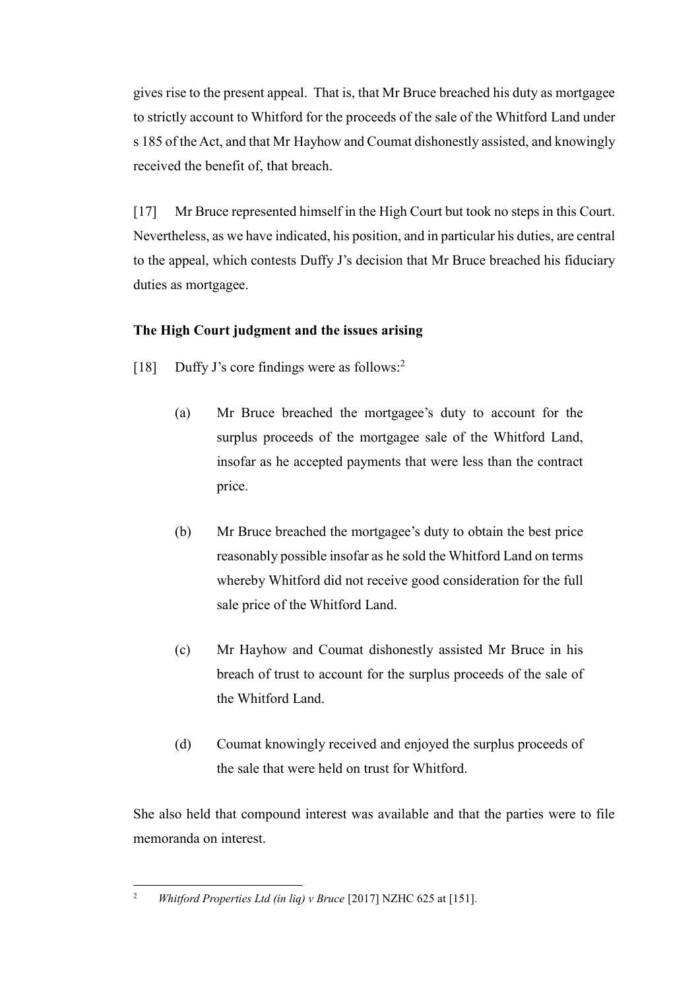gives rise to the present appeal. That is, that Mr Bruce breached his duty as mortgagee to strictly account to Whitford for the proceeds of the sale of the Whitford Land under s 185 of the Act, and that Mr Hayhow and Coumat dishonestly assisted, and knowingly received the benefit of, that breach.

[17] Mr Bruce represented himself in the High Court but took no steps in this Court. Nevertheless, as we have indicated, his position, and in particular his duties, are central to the appeal, which contests Duffy J's decision that Mr Bruce breached his fiduciary duties as mortgagee.

# **The High Court judgment and the issues arising**

- <span id="page-6-1"></span><span id="page-6-0"></span>[18] Duffy J's core findings were as follows:<sup>2</sup>
	- (a) Mr Bruce breached the mortgagee's duty to account for the surplus proceeds of the mortgagee sale of the Whitford Land, insofar as he accepted payments that were less than the contract price.
	- (b) Mr Bruce breached the mortgagee's duty to obtain the best price reasonably possible insofar as he sold the Whitford Land on terms whereby Whitford did not receive good consideration for the full sale price of the Whitford Land.
	- (c) Mr Hayhow and Coumat dishonestly assisted Mr Bruce in his breach of trust to account for the surplus proceeds of the sale of the Whitford Land.
	- (d) Coumat knowingly received and enjoyed the surplus proceeds of the sale that were held on trust for Whitford.

She also held that compound interest was available and that the parties were to file memoranda on interest.

 $\overline{2}$ <sup>2</sup> *Whitford Properties Ltd (in liq) v Bruce* [2017] NZHC 625 at [151].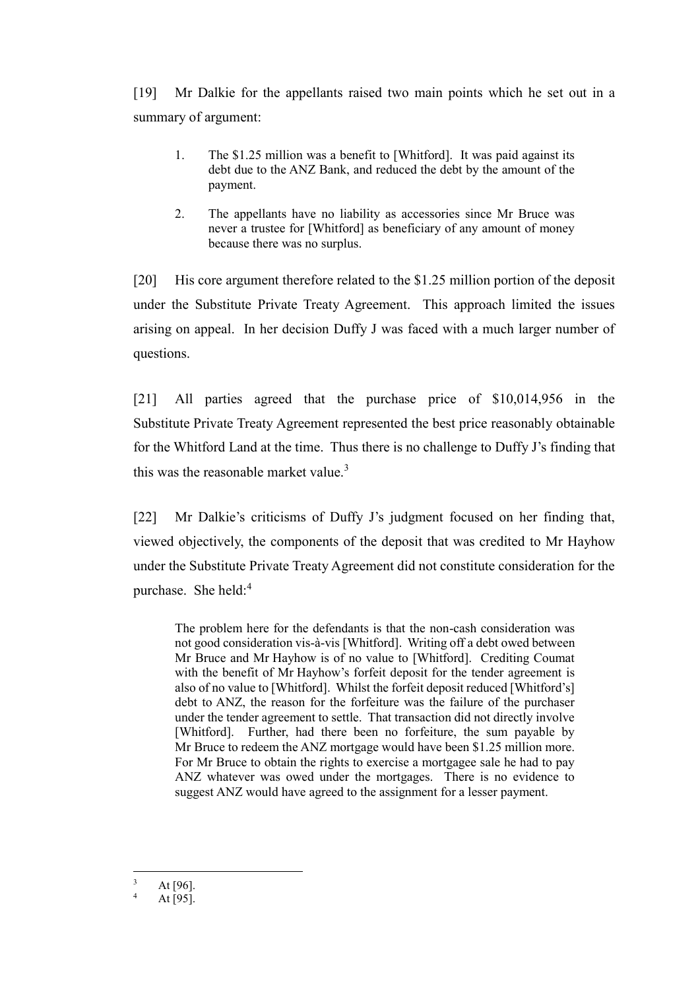[19] Mr Dalkie for the appellants raised two main points which he set out in a summary of argument:

- 1. The \$1.25 million was a benefit to [Whitford]. It was paid against its debt due to the ANZ Bank, and reduced the debt by the amount of the payment.
- 2. The appellants have no liability as accessories since Mr Bruce was never a trustee for [Whitford] as beneficiary of any amount of money because there was no surplus.

[20] His core argument therefore related to the \$1.25 million portion of the deposit under the Substitute Private Treaty Agreement. This approach limited the issues arising on appeal. In her decision Duffy J was faced with a much larger number of questions.

[21] All parties agreed that the purchase price of \$10,014,956 in the Substitute Private Treaty Agreement represented the best price reasonably obtainable for the Whitford Land at the time. Thus there is no challenge to Duffy J's finding that this was the reasonable market value.<sup>3</sup>

[22] Mr Dalkie's criticisms of Duffy J's judgment focused on her finding that, viewed objectively, the components of the deposit that was credited to Mr Hayhow under the Substitute Private Treaty Agreement did not constitute consideration for the purchase. She held:<sup>4</sup>

The problem here for the defendants is that the non-cash consideration was not good consideration vis-à-vis [Whitford]. Writing off a debt owed between Mr Bruce and Mr Hayhow is of no value to [Whitford]. Crediting Coumat with the benefit of Mr Hayhow's forfeit deposit for the tender agreement is also of no value to [Whitford]. Whilst the forfeit deposit reduced [Whitford's] debt to ANZ, the reason for the forfeiture was the failure of the purchaser under the tender agreement to settle. That transaction did not directly involve [Whitford]. Further, had there been no forfeiture, the sum payable by Mr Bruce to redeem the ANZ mortgage would have been \$1.25 million more. For Mr Bruce to obtain the rights to exercise a mortgagee sale he had to pay ANZ whatever was owed under the mortgages. There is no evidence to suggest ANZ would have agreed to the assignment for a lesser payment.

 $\overline{a}$  $3$  At [96].

At [95].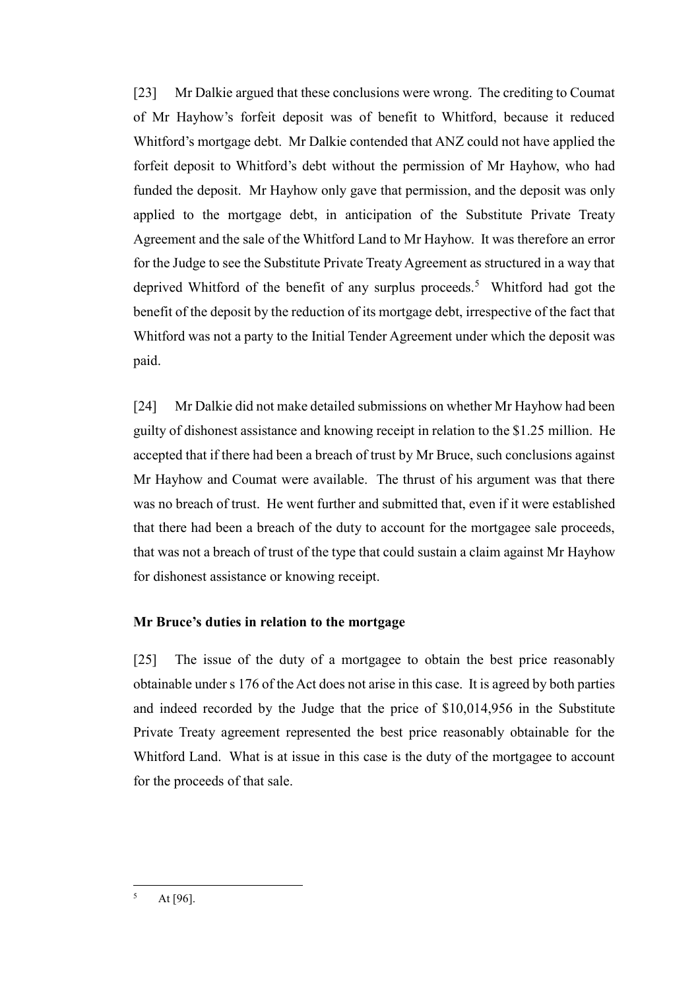[23] Mr Dalkie argued that these conclusions were wrong. The crediting to Coumat of Mr Hayhow's forfeit deposit was of benefit to Whitford, because it reduced Whitford's mortgage debt. Mr Dalkie contended that ANZ could not have applied the forfeit deposit to Whitford's debt without the permission of Mr Hayhow, who had funded the deposit. Mr Hayhow only gave that permission, and the deposit was only applied to the mortgage debt, in anticipation of the Substitute Private Treaty Agreement and the sale of the Whitford Land to Mr Hayhow. It was therefore an error for the Judge to see the Substitute Private Treaty Agreement as structured in a way that deprived Whitford of the benefit of any surplus proceeds.<sup>5</sup> Whitford had got the benefit of the deposit by the reduction of its mortgage debt, irrespective of the fact that Whitford was not a party to the Initial Tender Agreement under which the deposit was paid.

[24] Mr Dalkie did not make detailed submissions on whether Mr Hayhow had been guilty of dishonest assistance and knowing receipt in relation to the \$1.25 million. He accepted that if there had been a breach of trust by Mr Bruce, such conclusions against Mr Hayhow and Coumat were available. The thrust of his argument was that there was no breach of trust. He went further and submitted that, even if it were established that there had been a breach of the duty to account for the mortgagee sale proceeds, that was not a breach of trust of the type that could sustain a claim against Mr Hayhow for dishonest assistance or knowing receipt.

# **Mr Bruce's duties in relation to the mortgage**

<span id="page-8-0"></span>[25] The issue of the duty of a mortgagee to obtain the best price reasonably obtainable under s 176 of the Act does not arise in this case. It is agreed by both parties and indeed recorded by the Judge that the price of \$10,014,956 in the Substitute Private Treaty agreement represented the best price reasonably obtainable for the Whitford Land. What is at issue in this case is the duty of the mortgagee to account for the proceeds of that sale.

 $\overline{\mathbf{5}}$ At [96].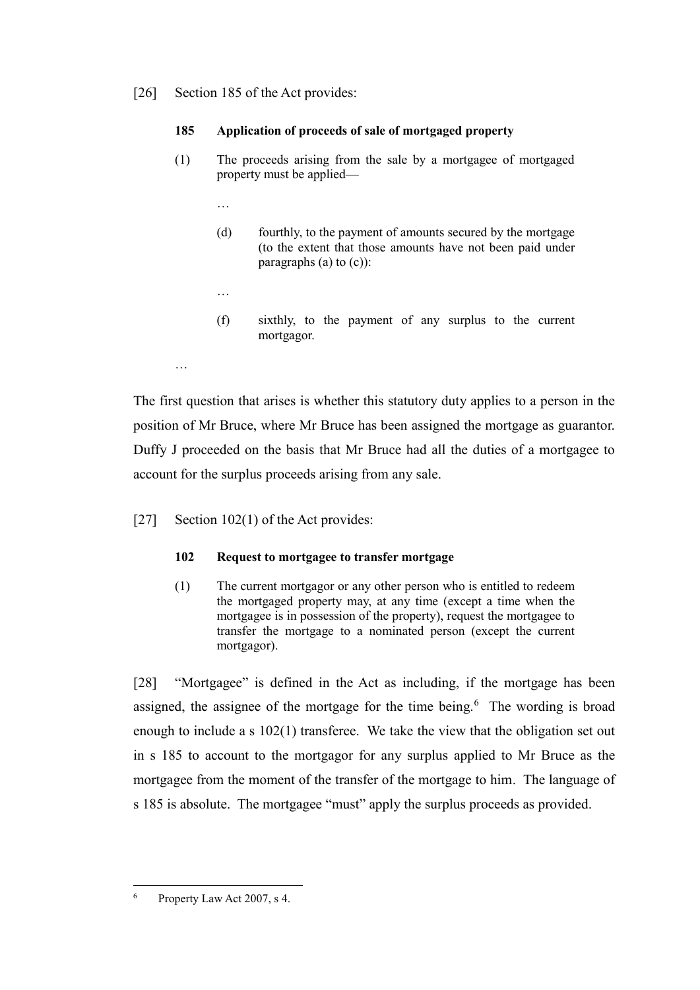[26] Section 185 of the Act provides:

## **185 Application of proceeds of sale of mortgaged property**

- (1) The proceeds arising from the sale by a mortgagee of mortgaged property must be applied—
	- …
	- (d) fourthly, to the payment of amounts secured by the mortgage (to the extent that those amounts have not been paid under paragraphs  $(a)$  to  $(c)$ :
	- …

…

(f) sixthly, to the payment of any surplus to the current mortgagor.

The first question that arises is whether this statutory duty applies to a person in the position of Mr Bruce, where Mr Bruce has been assigned the mortgage as guarantor. Duffy J proceeded on the basis that Mr Bruce had all the duties of a mortgagee to account for the surplus proceeds arising from any sale.

[27] Section 102(1) of the Act provides:

# **102 Request to mortgagee to transfer mortgage**

(1) The current mortgagor or any other person who is entitled to redeem the mortgaged property may, at any time (except a time when the mortgagee is in possession of the property), request the mortgagee to transfer the mortgage to a nominated person (except the current mortgagor).

[28] "Mortgagee" is defined in the Act as including, if the mortgage has been assigned, the assignee of the mortgage for the time being. $6$  The wording is broad enough to include a s 102(1) transferee. We take the view that the obligation set out in s 185 to account to the mortgagor for any surplus applied to Mr Bruce as the mortgagee from the moment of the transfer of the mortgage to him. The language of s 185 is absolute. The mortgagee "must" apply the surplus proceeds as provided.

 $\overline{6}$ Property Law Act 2007, s 4.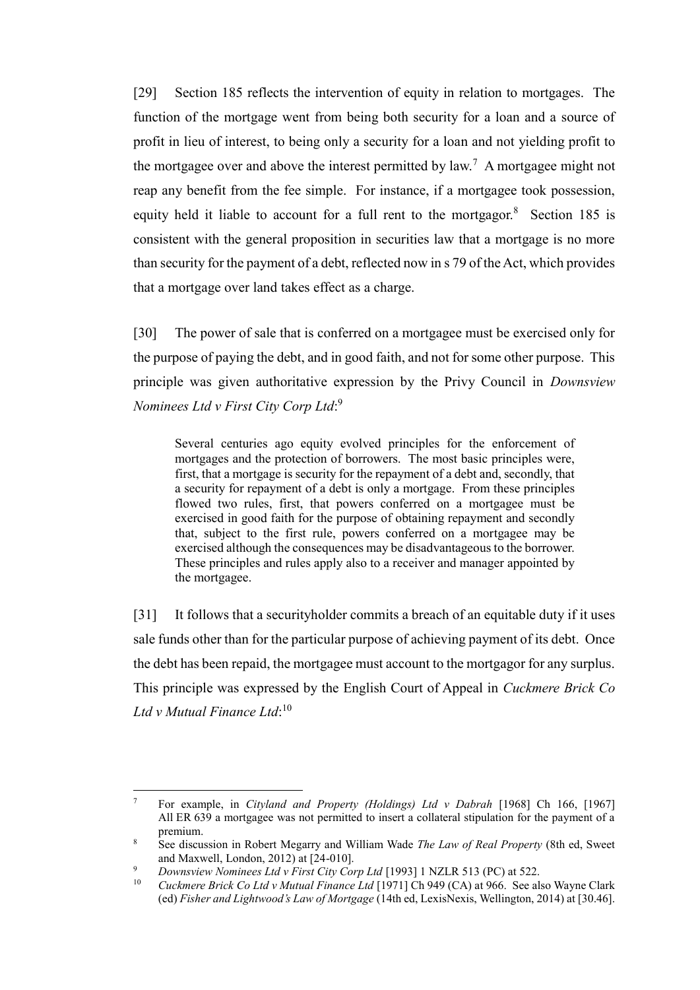<span id="page-10-0"></span>[29] Section 185 reflects the intervention of equity in relation to mortgages. The function of the mortgage went from being both security for a loan and a source of profit in lieu of interest, to being only a security for a loan and not yielding profit to the mortgagee over and above the interest permitted by law.<sup>7</sup> A mortgagee might not reap any benefit from the fee simple. For instance, if a mortgagee took possession, equity held it liable to account for a full rent to the mortgagor.<sup>8</sup> Section 185 is consistent with the general proposition in securities law that a mortgage is no more than security for the payment of a debt, reflected now in s 79 of the Act, which provides that a mortgage over land takes effect as a charge.

[30] The power of sale that is conferred on a mortgagee must be exercised only for the purpose of paying the debt, and in good faith, and not for some other purpose. This principle was given authoritative expression by the Privy Council in *Downsview Nominees Ltd v First City Corp Ltd*: 9

<span id="page-10-1"></span>Several centuries ago equity evolved principles for the enforcement of mortgages and the protection of borrowers. The most basic principles were, first, that a mortgage is security for the repayment of a debt and, secondly, that a security for repayment of a debt is only a mortgage. From these principles flowed two rules, first, that powers conferred on a mortgagee must be exercised in good faith for the purpose of obtaining repayment and secondly that, subject to the first rule, powers conferred on a mortgagee may be exercised although the consequences may be disadvantageous to the borrower. These principles and rules apply also to a receiver and manager appointed by the mortgagee.

[31] It follows that a securityholder commits a breach of an equitable duty if it uses sale funds other than for the particular purpose of achieving payment of its debt. Once the debt has been repaid, the mortgagee must account to the mortgagor for any surplus. This principle was expressed by the English Court of Appeal in *Cuckmere Brick Co Ltd v Mutual Finance Ltd*: 10

 $\overline{a}$ 

<sup>7</sup> For example, in *Cityland and Property (Holdings) Ltd v Dabrah* [1968] Ch 166, [1967] All ER 639 a mortgagee was not permitted to insert a collateral stipulation for the payment of a premium.

<sup>8</sup> See discussion in Robert Megarry and William Wade *The Law of Real Property* (8th ed, Sweet and Maxwell, London, 2012) at [24-010].

<sup>9</sup> *Downsview Nominees Ltd v First City Corp Ltd* [1993] 1 NZLR 513 (PC) at 522.

<sup>10</sup> *Cuckmere Brick Co Ltd v Mutual Finance Ltd* [1971] Ch 949 (CA) at 966. See also Wayne Clark (ed) *Fisher and Lightwood's Law of Mortgage* (14th ed, LexisNexis, Wellington, 2014) at [30.46].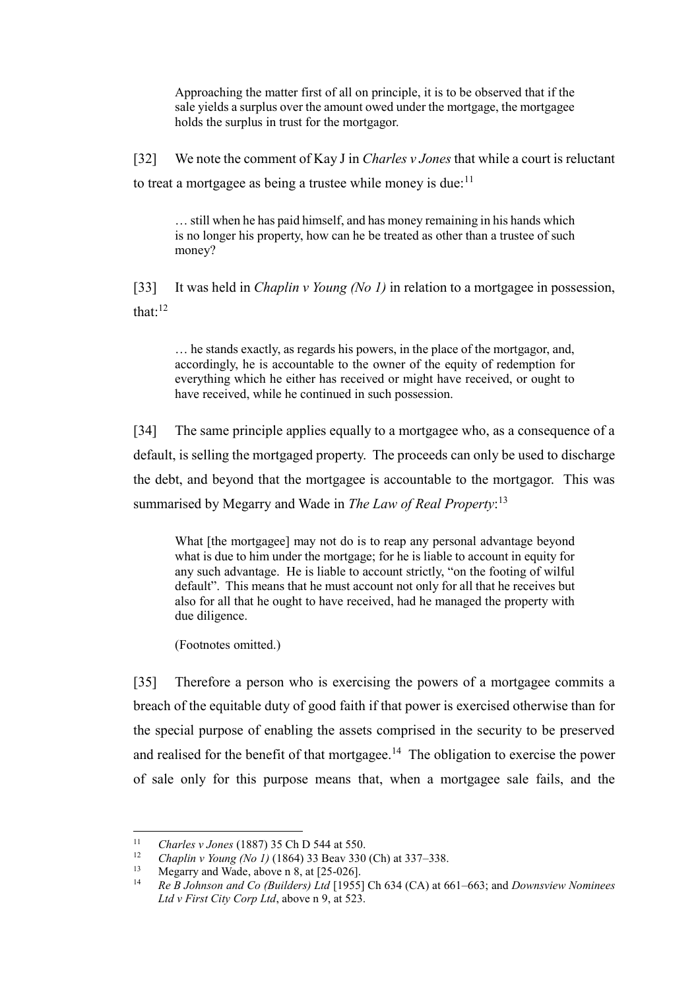Approaching the matter first of all on principle, it is to be observed that if the sale yields a surplus over the amount owed under the mortgage, the mortgagee holds the surplus in trust for the mortgagor.

[32] We note the comment of Kay J in *Charles v Jones* that while a court is reluctant to treat a mortgagee as being a trustee while money is due: $11$ 

… still when he has paid himself, and has money remaining in his hands which is no longer his property, how can he be treated as other than a trustee of such money?

[33] It was held in *Chaplin v Young (No 1)* in relation to a mortgagee in possession, that: $12$ 

… he stands exactly, as regards his powers, in the place of the mortgagor, and, accordingly, he is accountable to the owner of the equity of redemption for everything which he either has received or might have received, or ought to have received, while he continued in such possession.

[34] The same principle applies equally to a mortgagee who, as a consequence of a default, is selling the mortgaged property. The proceeds can only be used to discharge the debt, and beyond that the mortgagee is accountable to the mortgagor. This was summarised by Megarry and Wade in *The Law of Real Property*: 13

What [the mortgagee] may not do is to reap any personal advantage beyond what is due to him under the mortgage; for he is liable to account in equity for any such advantage. He is liable to account strictly, "on the footing of wilful default". This means that he must account not only for all that he receives but also for all that he ought to have received, had he managed the property with due diligence.

(Footnotes omitted.)

[35] Therefore a person who is exercising the powers of a mortgagee commits a breach of the equitable duty of good faith if that power is exercised otherwise than for the special purpose of enabling the assets comprised in the security to be preserved and realised for the benefit of that mortgagee.<sup>14</sup> The obligation to exercise the power of sale only for this purpose means that, when a mortgagee sale fails, and the

 $\overline{a}$ <sup>11</sup> *Charles v Jones* (1887) 35 Ch D 544 at 550.

<sup>12</sup> *Chaplin v Young (No 1)* (1864) 33 Beav 330 (Ch) at 337–338.

Megarry and Wade, above [n 8,](#page-10-0) at [25-026].

<sup>14</sup> *Re B Johnson and Co (Builders) Ltd* [1955] Ch 634 (CA) at 661–663; and *Downsview Nominees Ltd v First City Corp Ltd*, above n [9,](#page-10-1) at 523.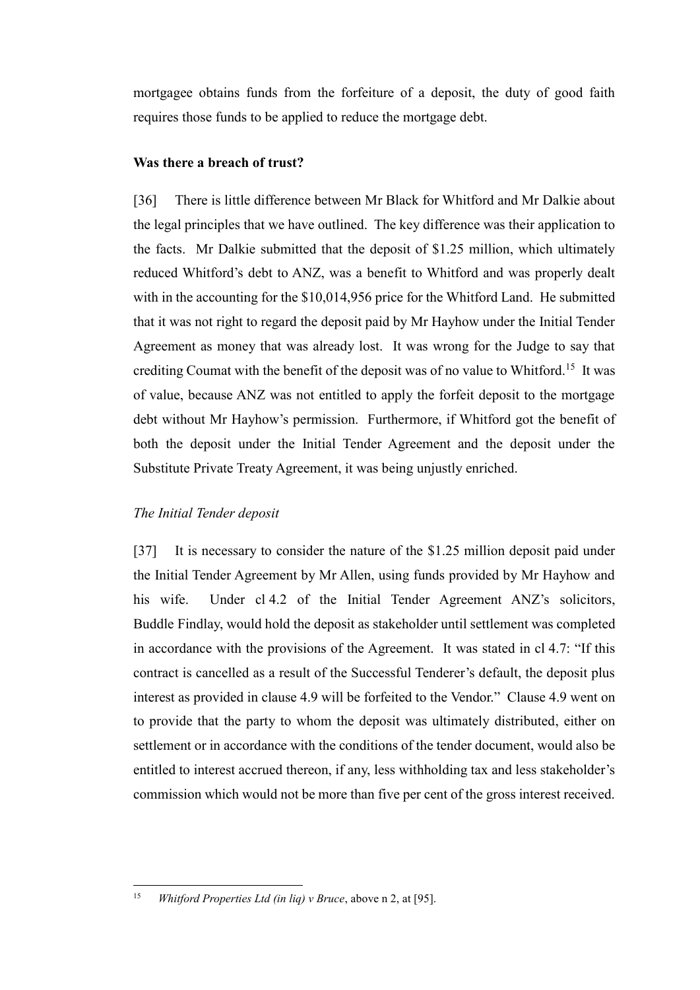mortgagee obtains funds from the forfeiture of a deposit, the duty of good faith requires those funds to be applied to reduce the mortgage debt.

### **Was there a breach of trust?**

<span id="page-12-0"></span>[36] There is little difference between Mr Black for Whitford and Mr Dalkie about the legal principles that we have outlined. The key difference was their application to the facts. Mr Dalkie submitted that the deposit of \$1.25 million, which ultimately reduced Whitford's debt to ANZ, was a benefit to Whitford and was properly dealt with in the accounting for the \$10,014,956 price for the Whitford Land. He submitted that it was not right to regard the deposit paid by Mr Hayhow under the Initial Tender Agreement as money that was already lost. It was wrong for the Judge to say that crediting Coumat with the benefit of the deposit was of no value to Whitford.<sup>15</sup> It was of value, because ANZ was not entitled to apply the forfeit deposit to the mortgage debt without Mr Hayhow's permission. Furthermore, if Whitford got the benefit of both the deposit under the Initial Tender Agreement and the deposit under the Substitute Private Treaty Agreement, it was being unjustly enriched.

#### *The Initial Tender deposit*

<span id="page-12-1"></span>[37] It is necessary to consider the nature of the \$1.25 million deposit paid under the Initial Tender Agreement by Mr Allen, using funds provided by Mr Hayhow and his wife. Under cl 4.2 of the Initial Tender Agreement ANZ's solicitors, Buddle Findlay, would hold the deposit as stakeholder until settlement was completed in accordance with the provisions of the Agreement. It was stated in cl 4.7: "If this contract is cancelled as a result of the Successful Tenderer's default, the deposit plus interest as provided in clause 4.9 will be forfeited to the Vendor." Clause 4.9 went on to provide that the party to whom the deposit was ultimately distributed, either on settlement or in accordance with the conditions of the tender document, would also be entitled to interest accrued thereon, if any, less withholding tax and less stakeholder's commission which would not be more than five per cent of the gross interest received.

 $15$ <sup>15</sup> *Whitford Properties Ltd (in liq) v Bruce*, above n [2,](#page-6-1) at [95].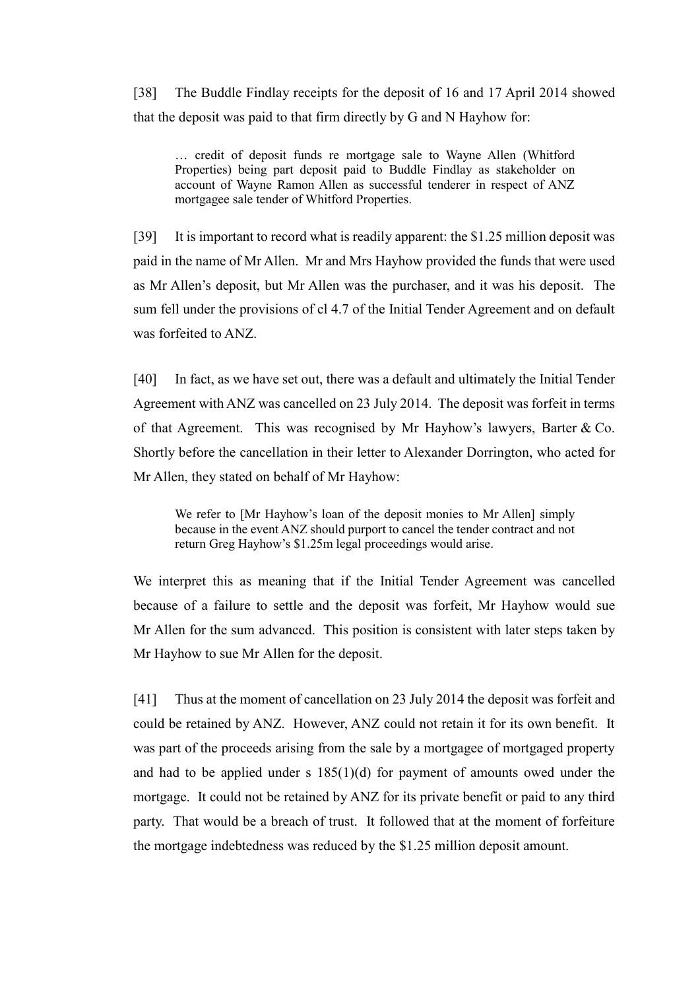[38] The Buddle Findlay receipts for the deposit of 16 and 17 April 2014 showed that the deposit was paid to that firm directly by G and N Hayhow for:

… credit of deposit funds re mortgage sale to Wayne Allen (Whitford Properties) being part deposit paid to Buddle Findlay as stakeholder on account of Wayne Ramon Allen as successful tenderer in respect of ANZ mortgagee sale tender of Whitford Properties.

[39] It is important to record what is readily apparent: the \$1.25 million deposit was paid in the name of Mr Allen. Mr and Mrs Hayhow provided the funds that were used as Mr Allen's deposit, but Mr Allen was the purchaser, and it was his deposit. The sum fell under the provisions of cl 4.7 of the Initial Tender Agreement and on default was forfeited to ANZ.

[40] In fact, as we have set out, there was a default and ultimately the Initial Tender Agreement with ANZ was cancelled on 23 July 2014. The deposit was forfeit in terms of that Agreement. This was recognised by Mr Hayhow's lawyers, Barter & Co. Shortly before the cancellation in their letter to Alexander Dorrington, who acted for Mr Allen, they stated on behalf of Mr Hayhow:

We refer to [Mr Hayhow's loan of the deposit monies to Mr Allen] simply because in the event ANZ should purport to cancel the tender contract and not return Greg Hayhow's \$1.25m legal proceedings would arise.

We interpret this as meaning that if the Initial Tender Agreement was cancelled because of a failure to settle and the deposit was forfeit, Mr Hayhow would sue Mr Allen for the sum advanced. This position is consistent with later steps taken by Mr Hayhow to sue Mr Allen for the deposit.

[41] Thus at the moment of cancellation on 23 July 2014 the deposit was forfeit and could be retained by ANZ. However, ANZ could not retain it for its own benefit. It was part of the proceeds arising from the sale by a mortgagee of mortgaged property and had to be applied under s 185(1)(d) for payment of amounts owed under the mortgage. It could not be retained by ANZ for its private benefit or paid to any third party. That would be a breach of trust. It followed that at the moment of forfeiture the mortgage indebtedness was reduced by the \$1.25 million deposit amount.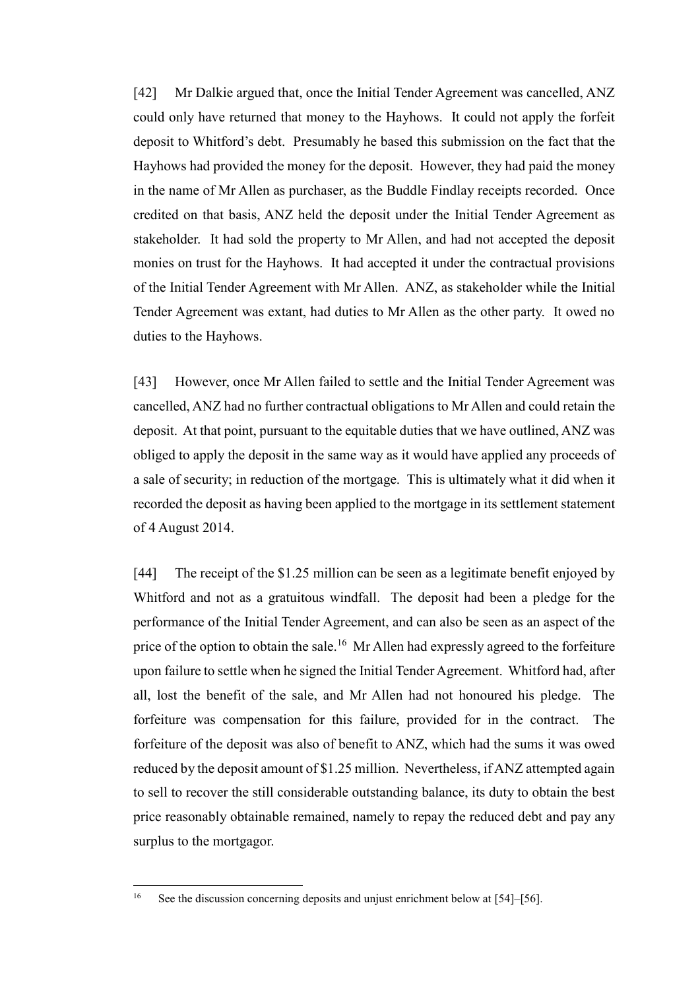[42] Mr Dalkie argued that, once the Initial Tender Agreement was cancelled, ANZ could only have returned that money to the Hayhows. It could not apply the forfeit deposit to Whitford's debt. Presumably he based this submission on the fact that the Hayhows had provided the money for the deposit. However, they had paid the money in the name of Mr Allen as purchaser, as the Buddle Findlay receipts recorded. Once credited on that basis, ANZ held the deposit under the Initial Tender Agreement as stakeholder. It had sold the property to Mr Allen, and had not accepted the deposit monies on trust for the Hayhows. It had accepted it under the contractual provisions of the Initial Tender Agreement with Mr Allen. ANZ, as stakeholder while the Initial Tender Agreement was extant, had duties to Mr Allen as the other party. It owed no duties to the Hayhows.

[43] However, once Mr Allen failed to settle and the Initial Tender Agreement was cancelled, ANZ had no further contractual obligations to Mr Allen and could retain the deposit. At that point, pursuant to the equitable duties that we have outlined, ANZ was obliged to apply the deposit in the same way as it would have applied any proceeds of a sale of security; in reduction of the mortgage. This is ultimately what it did when it recorded the deposit as having been applied to the mortgage in its settlement statement of 4 August 2014.

[44] The receipt of the \$1.25 million can be seen as a legitimate benefit enjoyed by Whitford and not as a gratuitous windfall. The deposit had been a pledge for the performance of the Initial Tender Agreement, and can also be seen as an aspect of the price of the option to obtain the sale.<sup>16</sup> Mr Allen had expressly agreed to the forfeiture upon failure to settle when he signed the Initial Tender Agreement. Whitford had, after all, lost the benefit of the sale, and Mr Allen had not honoured his pledge. The forfeiture was compensation for this failure, provided for in the contract. The forfeiture of the deposit was also of benefit to ANZ, which had the sums it was owed reduced by the deposit amount of \$1.25 million. Nevertheless, if ANZ attempted again to sell to recover the still considerable outstanding balance, its duty to obtain the best price reasonably obtainable remained, namely to repay the reduced debt and pay any surplus to the mortgagor.

 $16$ See the discussion concerning deposits and unjust enrichment below at [\[54\]–](#page-18-0)[\[56\].](#page-18-1)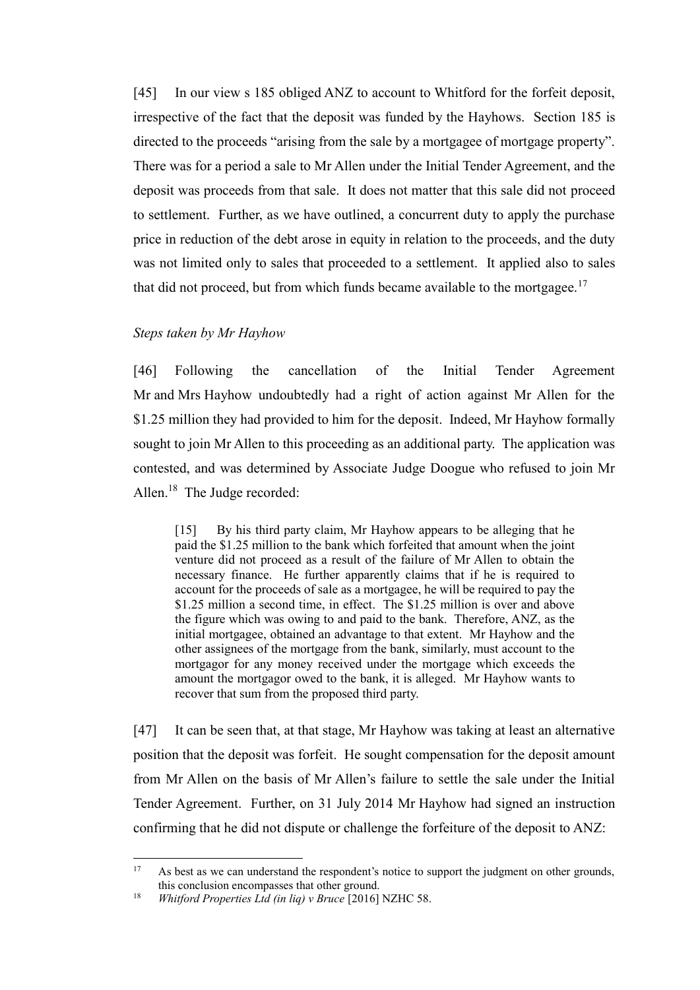[45] In our view s 185 obliged ANZ to account to Whitford for the forfeit deposit, irrespective of the fact that the deposit was funded by the Hayhows. Section 185 is directed to the proceeds "arising from the sale by a mortgagee of mortgage property". There was for a period a sale to Mr Allen under the Initial Tender Agreement, and the deposit was proceeds from that sale. It does not matter that this sale did not proceed to settlement. Further, as we have outlined, a concurrent duty to apply the purchase price in reduction of the debt arose in equity in relation to the proceeds, and the duty was not limited only to sales that proceeded to a settlement. It applied also to sales that did not proceed, but from which funds became available to the mortgagee.<sup>17</sup>

#### <span id="page-15-1"></span>*Steps taken by Mr Hayhow*

<span id="page-15-0"></span>[46] Following the cancellation of the Initial Tender Agreement Mr and Mrs Hayhow undoubtedly had a right of action against Mr Allen for the \$1.25 million they had provided to him for the deposit. Indeed, Mr Hayhow formally sought to join Mr Allen to this proceeding as an additional party. The application was contested, and was determined by Associate Judge Doogue who refused to join Mr Allen.<sup>18</sup> The Judge recorded:

[15] By his third party claim, Mr Hayhow appears to be alleging that he paid the \$1.25 million to the bank which forfeited that amount when the joint venture did not proceed as a result of the failure of Mr Allen to obtain the necessary finance. He further apparently claims that if he is required to account for the proceeds of sale as a mortgagee, he will be required to pay the \$1.25 million a second time, in effect. The \$1.25 million is over and above the figure which was owing to and paid to the bank. Therefore, ANZ, as the initial mortgagee, obtained an advantage to that extent. Mr Hayhow and the other assignees of the mortgage from the bank, similarly, must account to the mortgagor for any money received under the mortgage which exceeds the amount the mortgagor owed to the bank, it is alleged. Mr Hayhow wants to recover that sum from the proposed third party.

[47] It can be seen that, at that stage, Mr Hayhow was taking at least an alternative position that the deposit was forfeit. He sought compensation for the deposit amount from Mr Allen on the basis of Mr Allen's failure to settle the sale under the Initial Tender Agreement. Further, on 31 July 2014 Mr Hayhow had signed an instruction confirming that he did not dispute or challenge the forfeiture of the deposit to ANZ:

 $\overline{a}$ 

<sup>&</sup>lt;sup>17</sup> As best as we can understand the respondent's notice to support the judgment on other grounds, this conclusion encompasses that other ground.

<sup>18</sup> *Whitford Properties Ltd (in liq) v Bruce* [2016] NZHC 58.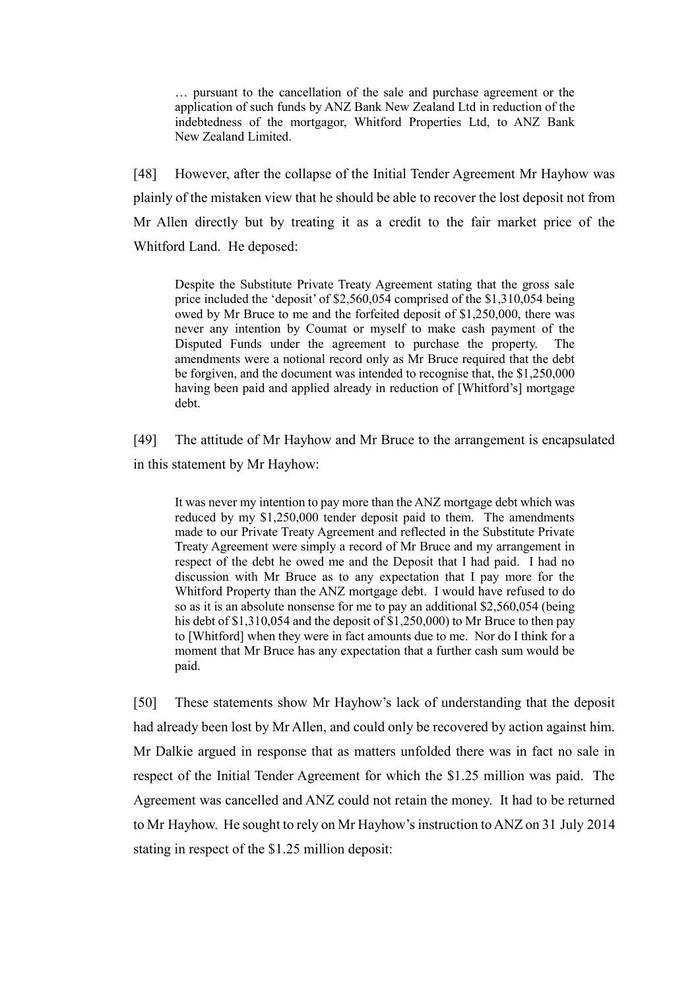… pursuant to the cancellation of the sale and purchase agreement or the application of such funds by ANZ Bank New Zealand Ltd in reduction of the indebtedness of the mortgagor, Whitford Properties Ltd, to ANZ Bank New Zealand Limited.

[48] However, after the collapse of the Initial Tender Agreement Mr Hayhow was plainly of the mistaken view that he should be able to recover the lost deposit not from Mr Allen directly but by treating it as a credit to the fair market price of the Whitford Land. He deposed:

Despite the Substitute Private Treaty Agreement stating that the gross sale price included the 'deposit' of \$2,560,054 comprised of the \$1,310,054 being owed by Mr Bruce to me and the forfeited deposit of \$1,250,000, there was never any intention by Coumat or myself to make cash payment of the Disputed Funds under the agreement to purchase the property. The amendments were a notional record only as Mr Bruce required that the debt be forgiven, and the document was intended to recognise that, the \$1,250,000 having been paid and applied already in reduction of [Whitford's] mortgage debt.

[49] The attitude of Mr Hayhow and Mr Bruce to the arrangement is encapsulated in this statement by Mr Hayhow:

It was never my intention to pay more than the ANZ mortgage debt which was reduced by my \$1,250,000 tender deposit paid to them. The amendments made to our Private Treaty Agreement and reflected in the Substitute Private Treaty Agreement were simply a record of Mr Bruce and my arrangement in respect of the debt he owed me and the Deposit that I had paid. I had no discussion with Mr Bruce as to any expectation that I pay more for the Whitford Property than the ANZ mortgage debt. I would have refused to do so as it is an absolute nonsense for me to pay an additional \$2,560,054 (being his debt of \$1,310,054 and the deposit of  $\overline{\$1,250,000}$  to Mr Bruce to then pay to [Whitford] when they were in fact amounts due to me. Nor do I think for a moment that Mr Bruce has any expectation that a further cash sum would be paid.

[50] These statements show Mr Hayhow's lack of understanding that the deposit had already been lost by Mr Allen, and could only be recovered by action against him. Mr Dalkie argued in response that as matters unfolded there was in fact no sale in respect of the Initial Tender Agreement for which the \$1.25 million was paid. The Agreement was cancelled and ANZ could not retain the money. It had to be returned to Mr Hayhow. He sought to rely on Mr Hayhow's instruction to ANZ on 31 July 2014 stating in respect of the \$1.25 million deposit: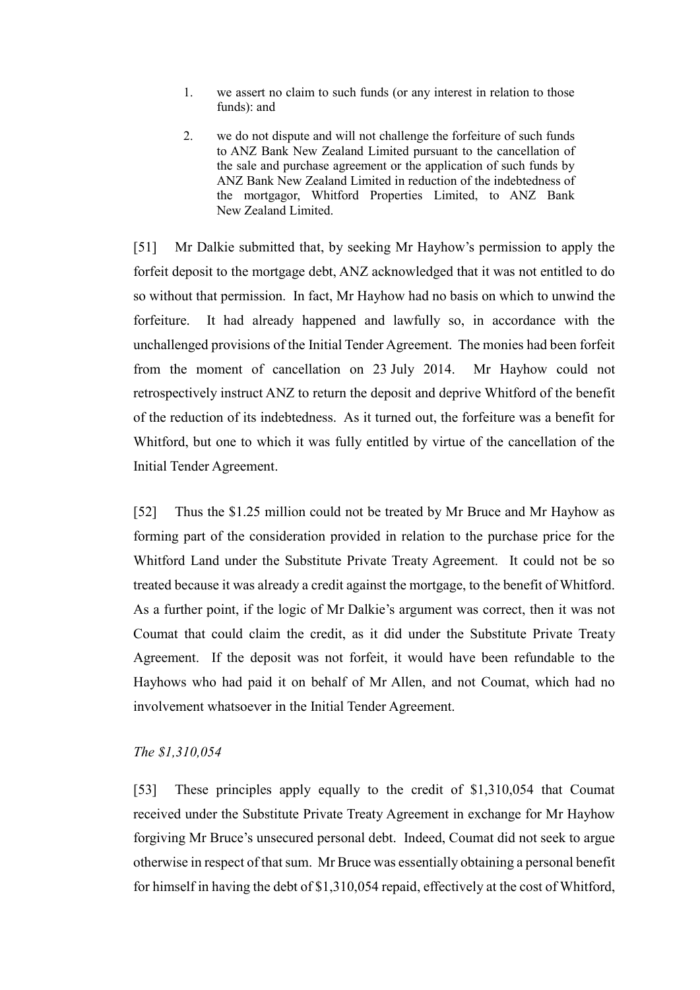- 1. we assert no claim to such funds (or any interest in relation to those funds): and
- 2. we do not dispute and will not challenge the forfeiture of such funds to ANZ Bank New Zealand Limited pursuant to the cancellation of the sale and purchase agreement or the application of such funds by ANZ Bank New Zealand Limited in reduction of the indebtedness of the mortgagor, Whitford Properties Limited, to ANZ Bank New Zealand Limited.

[51] Mr Dalkie submitted that, by seeking Mr Hayhow's permission to apply the forfeit deposit to the mortgage debt, ANZ acknowledged that it was not entitled to do so without that permission. In fact, Mr Hayhow had no basis on which to unwind the forfeiture. It had already happened and lawfully so, in accordance with the unchallenged provisions of the Initial Tender Agreement. The monies had been forfeit from the moment of cancellation on 23 July 2014. Mr Hayhow could not retrospectively instruct ANZ to return the deposit and deprive Whitford of the benefit of the reduction of its indebtedness. As it turned out, the forfeiture was a benefit for Whitford, but one to which it was fully entitled by virtue of the cancellation of the Initial Tender Agreement.

[52] Thus the \$1.25 million could not be treated by Mr Bruce and Mr Hayhow as forming part of the consideration provided in relation to the purchase price for the Whitford Land under the Substitute Private Treaty Agreement. It could not be so treated because it was already a credit against the mortgage, to the benefit of Whitford. As a further point, if the logic of Mr Dalkie's argument was correct, then it was not Coumat that could claim the credit, as it did under the Substitute Private Treaty Agreement. If the deposit was not forfeit, it would have been refundable to the Hayhows who had paid it on behalf of Mr Allen, and not Coumat, which had no involvement whatsoever in the Initial Tender Agreement.

### *The \$1,310,054*

<span id="page-17-0"></span>[53] These principles apply equally to the credit of \$1,310,054 that Coumat received under the Substitute Private Treaty Agreement in exchange for Mr Hayhow forgiving Mr Bruce's unsecured personal debt. Indeed, Coumat did not seek to argue otherwise in respect of that sum. Mr Bruce was essentially obtaining a personal benefit for himself in having the debt of \$1,310,054 repaid, effectively at the cost of Whitford,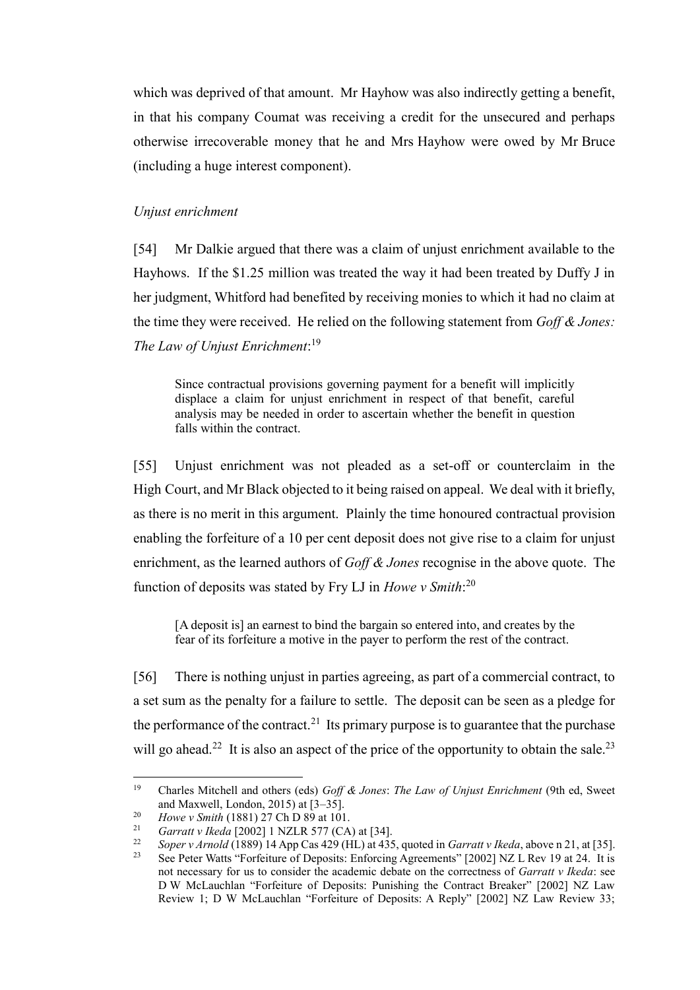which was deprived of that amount. Mr Hayhow was also indirectly getting a benefit, in that his company Coumat was receiving a credit for the unsecured and perhaps otherwise irrecoverable money that he and Mrs Hayhow were owed by Mr Bruce (including a huge interest component).

#### *Unjust enrichment*

<span id="page-18-0"></span>[54] Mr Dalkie argued that there was a claim of unjust enrichment available to the Hayhows. If the \$1.25 million was treated the way it had been treated by Duffy J in her judgment, Whitford had benefited by receiving monies to which it had no claim at the time they were received. He relied on the following statement from *Goff & Jones: The Law of Unjust Enrichment*: 19

Since contractual provisions governing payment for a benefit will implicitly displace a claim for unjust enrichment in respect of that benefit, careful analysis may be needed in order to ascertain whether the benefit in question falls within the contract.

[55] Unjust enrichment was not pleaded as a set-off or counterclaim in the High Court, and Mr Black objected to it being raised on appeal. We deal with it briefly, as there is no merit in this argument. Plainly the time honoured contractual provision enabling the forfeiture of a 10 per cent deposit does not give rise to a claim for unjust enrichment, as the learned authors of *Goff & Jones* recognise in the above quote. The function of deposits was stated by Fry LJ in *Howe v Smith*: 20

<span id="page-18-2"></span>[A deposit is] an earnest to bind the bargain so entered into, and creates by the fear of its forfeiture a motive in the payer to perform the rest of the contract.

<span id="page-18-1"></span>[56] There is nothing unjust in parties agreeing, as part of a commercial contract, to a set sum as the penalty for a failure to settle. The deposit can be seen as a pledge for the performance of the contract.<sup>21</sup> Its primary purpose is to guarantee that the purchase will go ahead.<sup>22</sup> It is also an aspect of the price of the opportunity to obtain the sale.<sup>23</sup>

 $\overline{a}$ 

<sup>19</sup> Charles Mitchell and others (eds) *Goff & Jones*: *The Law of Unjust Enrichment* (9th ed, Sweet and Maxwell, London, 2015) at [3–35].

<sup>&</sup>lt;sup>20</sup> *Howe v Smith* (1881) 27 Ch D 89 at 101.<br><sup>21</sup> *Garratt v Ikoda* [2002] 1 NZI B 577 (CA

<sup>21</sup> *Garratt v Ikeda* [2002] 1 NZLR 577 (CA) at [34].

<sup>&</sup>lt;sup>22</sup> *Soper v Arnold* (1889) 14 App Cas 429 (HL) at 435, quoted in *Garratt v Ikeda*, above [n 21,](#page-18-2) at [35].<br><sup>23</sup> See Peter Watts "Forfeiture of Deposits: Enforcing Agreements" [2002] NZ J, Rev 19 at 24. It is

<sup>23</sup> See Peter Watts "Forfeiture of Deposits: Enforcing Agreements" [2002] NZ L Rev 19 at 24. It is not necessary for us to consider the academic debate on the correctness of *Garratt v Ikeda*: see D W McLauchlan "Forfeiture of Deposits: Punishing the Contract Breaker" [2002] NZ Law Review 1; D W McLauchlan "Forfeiture of Deposits: A Reply" [2002] NZ Law Review 33;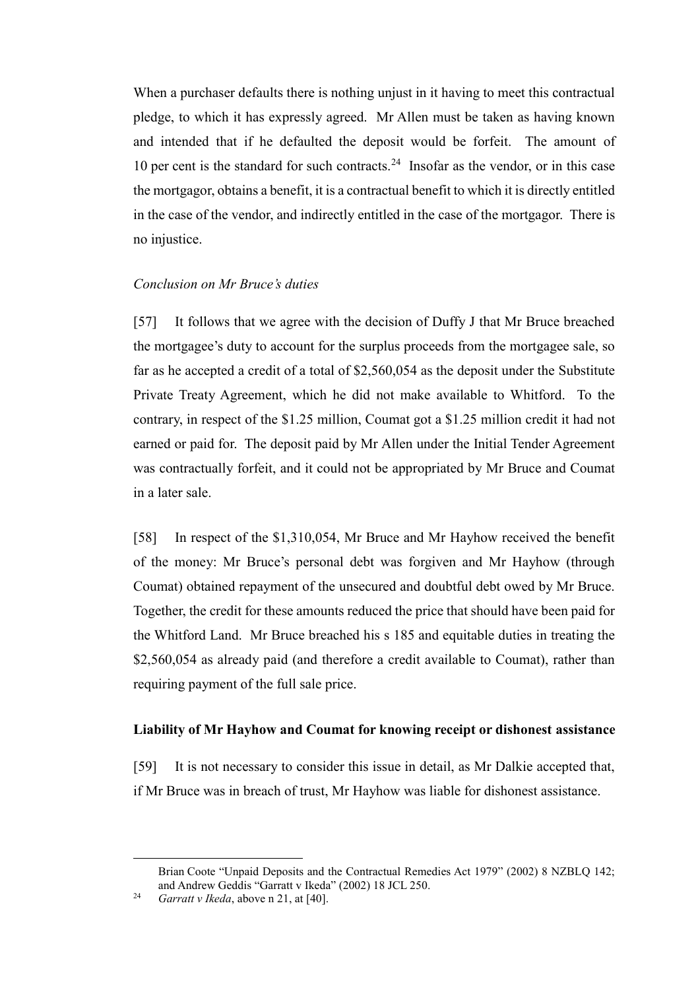When a purchaser defaults there is nothing unjust in it having to meet this contractual pledge, to which it has expressly agreed. Mr Allen must be taken as having known and intended that if he defaulted the deposit would be forfeit. The amount of 10 per cent is the standard for such contracts.<sup>24</sup> Insofar as the vendor, or in this case the mortgagor, obtains a benefit, it is a contractual benefit to which it is directly entitled in the case of the vendor, and indirectly entitled in the case of the mortgagor. There is no injustice.

#### *Conclusion on Mr Bruce's duties*

<span id="page-19-0"></span>[57] It follows that we agree with the decision of Duffy J that Mr Bruce breached the mortgagee's duty to account for the surplus proceeds from the mortgagee sale, so far as he accepted a credit of a total of \$2,560,054 as the deposit under the Substitute Private Treaty Agreement, which he did not make available to Whitford. To the contrary, in respect of the \$1.25 million, Coumat got a \$1.25 million credit it had not earned or paid for. The deposit paid by Mr Allen under the Initial Tender Agreement was contractually forfeit, and it could not be appropriated by Mr Bruce and Coumat in a later sale.

[58] In respect of the \$1,310,054, Mr Bruce and Mr Hayhow received the benefit of the money: Mr Bruce's personal debt was forgiven and Mr Hayhow (through Coumat) obtained repayment of the unsecured and doubtful debt owed by Mr Bruce. Together, the credit for these amounts reduced the price that should have been paid for the Whitford Land. Mr Bruce breached his s 185 and equitable duties in treating the \$2,560,054 as already paid (and therefore a credit available to Coumat), rather than requiring payment of the full sale price.

#### **Liability of Mr Hayhow and Coumat for knowing receipt or dishonest assistance**

<span id="page-19-1"></span>[59] It is not necessary to consider this issue in detail, as Mr Dalkie accepted that, if Mr Bruce was in breach of trust, Mr Hayhow was liable for dishonest assistance.

 $\overline{a}$ 

Brian Coote "Unpaid Deposits and the Contractual Remedies Act 1979" (2002) 8 NZBLQ 142; and Andrew Geddis "Garratt v Ikeda" (2002) 18 JCL 250.

<sup>24</sup> *Garratt v Ikeda*, above [n 21,](#page-18-2) at [40].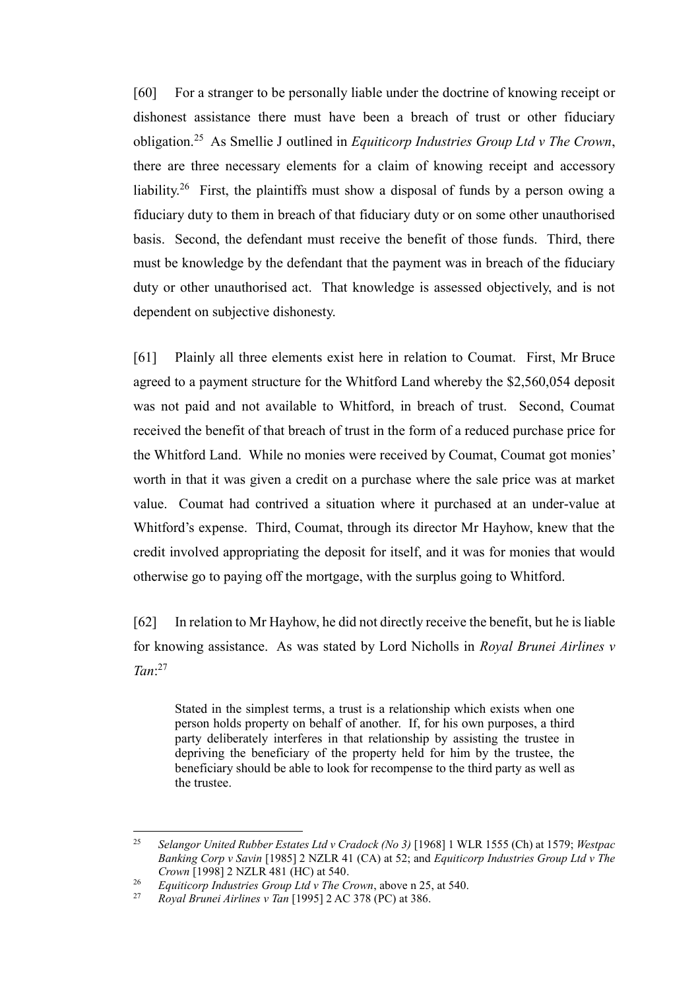<span id="page-20-0"></span>[60] For a stranger to be personally liable under the doctrine of knowing receipt or dishonest assistance there must have been a breach of trust or other fiduciary obligation.<sup>25</sup> As Smellie J outlined in *Equiticorp Industries Group Ltd v The Crown*, there are three necessary elements for a claim of knowing receipt and accessory liability.<sup>26</sup> First, the plaintiffs must show a disposal of funds by a person owing a fiduciary duty to them in breach of that fiduciary duty or on some other unauthorised basis. Second, the defendant must receive the benefit of those funds. Third, there must be knowledge by the defendant that the payment was in breach of the fiduciary duty or other unauthorised act. That knowledge is assessed objectively, and is not dependent on subjective dishonesty.

[61] Plainly all three elements exist here in relation to Coumat. First, Mr Bruce agreed to a payment structure for the Whitford Land whereby the \$2,560,054 deposit was not paid and not available to Whitford, in breach of trust. Second, Coumat received the benefit of that breach of trust in the form of a reduced purchase price for the Whitford Land. While no monies were received by Coumat, Coumat got monies' worth in that it was given a credit on a purchase where the sale price was at market value. Coumat had contrived a situation where it purchased at an under-value at Whitford's expense. Third, Coumat, through its director Mr Hayhow, knew that the credit involved appropriating the deposit for itself, and it was for monies that would otherwise go to paying off the mortgage, with the surplus going to Whitford.

[62] In relation to Mr Hayhow, he did not directly receive the benefit, but he is liable for knowing assistance. As was stated by Lord Nicholls in *Royal Brunei Airlines v Tan*: 27

Stated in the simplest terms, a trust is a relationship which exists when one person holds property on behalf of another. If, for his own purposes, a third party deliberately interferes in that relationship by assisting the trustee in depriving the beneficiary of the property held for him by the trustee, the beneficiary should be able to look for recompense to the third party as well as the trustee.

 $\overline{a}$ <sup>25</sup> *Selangor United Rubber Estates Ltd v Cradock (No 3)* [1968] 1 WLR 1555 (Ch) at 1579; *Westpac Banking Corp v Savin* [1985] 2 NZLR 41 (CA) at 52; and *Equiticorp Industries Group Ltd v The Crown* [1998] 2 NZLR 481 (HC) at 540.

<sup>&</sup>lt;sup>26</sup> *Equiticorp Industries Group Ltd v The Crown*, above [n 25,](#page-20-0) at 540.<br><sup>27</sup> *Poval Pranci Airlines v Tap* [1995] 2 AC 378 (PC) at 386

<sup>27</sup> *Royal Brunei Airlines v Tan* [1995] 2 AC 378 (PC) at 386.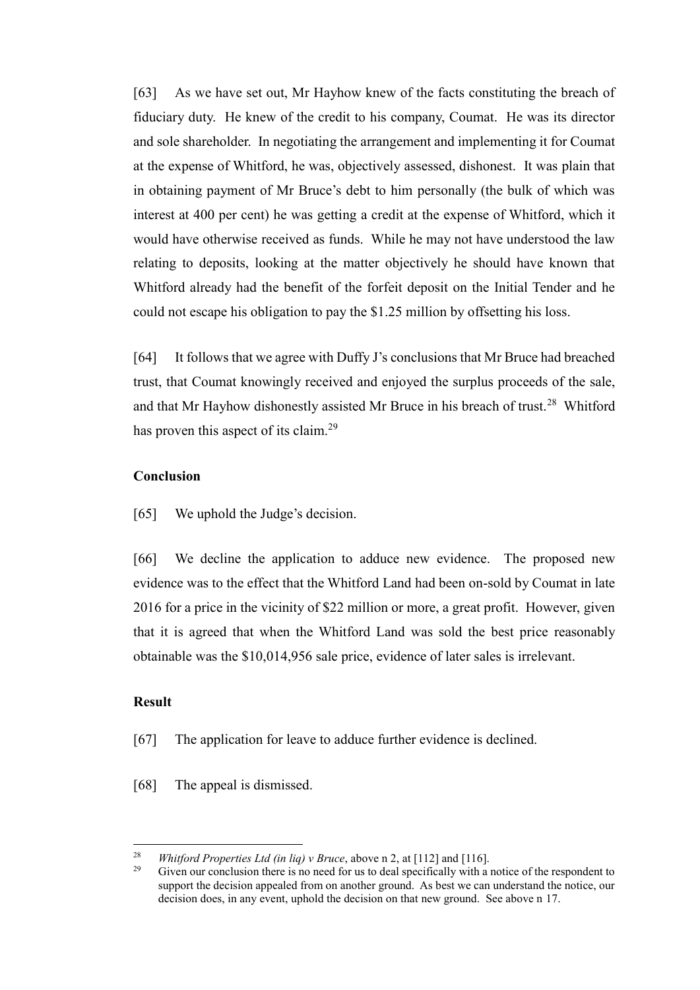[63] As we have set out, Mr Hayhow knew of the facts constituting the breach of fiduciary duty. He knew of the credit to his company, Coumat. He was its director and sole shareholder. In negotiating the arrangement and implementing it for Coumat at the expense of Whitford, he was, objectively assessed, dishonest. It was plain that in obtaining payment of Mr Bruce's debt to him personally (the bulk of which was interest at 400 per cent) he was getting a credit at the expense of Whitford, which it would have otherwise received as funds. While he may not have understood the law relating to deposits, looking at the matter objectively he should have known that Whitford already had the benefit of the forfeit deposit on the Initial Tender and he could not escape his obligation to pay the \$1.25 million by offsetting his loss.

[64] It follows that we agree with Duffy J's conclusions that Mr Bruce had breached trust, that Coumat knowingly received and enjoyed the surplus proceeds of the sale, and that Mr Hayhow dishonestly assisted Mr Bruce in his breach of trust.<sup>28</sup> Whitford has proven this aspect of its claim.<sup>29</sup>

## **Conclusion**

<span id="page-21-0"></span>[65] We uphold the Judge's decision.

[66] We decline the application to adduce new evidence. The proposed new evidence was to the effect that the Whitford Land had been on-sold by Coumat in late 2016 for a price in the vicinity of \$22 million or more, a great profit. However, given that it is agreed that when the Whitford Land was sold the best price reasonably obtainable was the \$10,014,956 sale price, evidence of later sales is irrelevant.

# **Result**

- <span id="page-21-1"></span>[67] The application for leave to adduce further evidence is declined.
- [68] The appeal is dismissed.

<sup>28</sup> <sup>28</sup> *Whitford Properties Ltd (in liq) v Bruce*, above n [2,](#page-6-1) at [112] and [116].<br><sup>29</sup> Given our conclusion there is no need for us to deal specifically with a

Given our conclusion there is no need for us to deal specifically with a notice of the respondent to support the decision appealed from on another ground. As best we can understand the notice, our decision does, in any event, uphold the decision on that new ground. See above n [17.](#page-15-1)